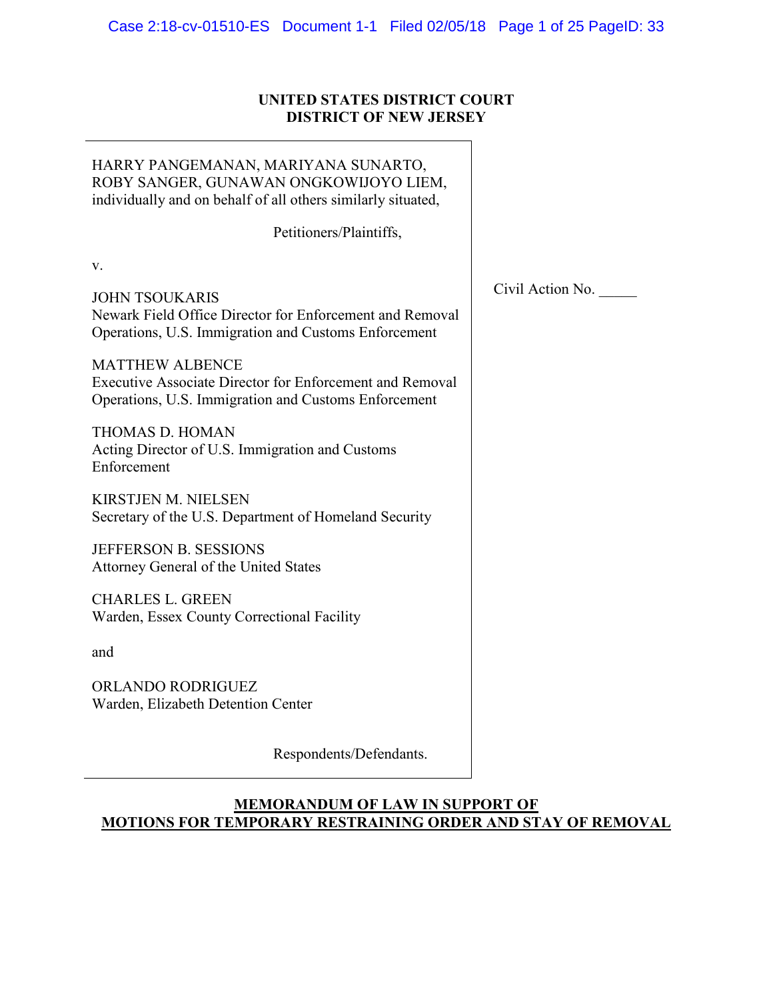# **UNITED STATES DISTRICT COURT DISTRICT OF NEW JERSEY**

| HARRY PANGEMANAN, MARIYANA SUNARTO,<br>ROBY SANGER, GUNAWAN ONGKOWIJOYO LIEM,<br>individually and on behalf of all others similarly situated,     |                  |
|---------------------------------------------------------------------------------------------------------------------------------------------------|------------------|
| Petitioners/Plaintiffs,                                                                                                                           |                  |
| V.                                                                                                                                                |                  |
| <b>JOHN TSOUKARIS</b><br>Newark Field Office Director for Enforcement and Removal<br>Operations, U.S. Immigration and Customs Enforcement         | Civil Action No. |
| <b>MATTHEW ALBENCE</b><br><b>Executive Associate Director for Enforcement and Removal</b><br>Operations, U.S. Immigration and Customs Enforcement |                  |
| <b>THOMAS D. HOMAN</b><br>Acting Director of U.S. Immigration and Customs<br>Enforcement                                                          |                  |
| <b>KIRSTJEN M. NIELSEN</b><br>Secretary of the U.S. Department of Homeland Security                                                               |                  |
| JEFFERSON B. SESSIONS<br>Attorney General of the United States                                                                                    |                  |
| <b>CHARLES L. GREEN</b><br>Warden, Essex County Correctional Facility                                                                             |                  |
| and                                                                                                                                               |                  |
| ORLANDO RODRIGUEZ<br>Warden, Elizabeth Detention Center                                                                                           |                  |
| Respondents/Defendants.                                                                                                                           |                  |

# **MEMORANDUM OF LAW IN SUPPORT OF MOTIONS FOR TEMPORARY RESTRAINING ORDER AND STAY OF REMOVAL**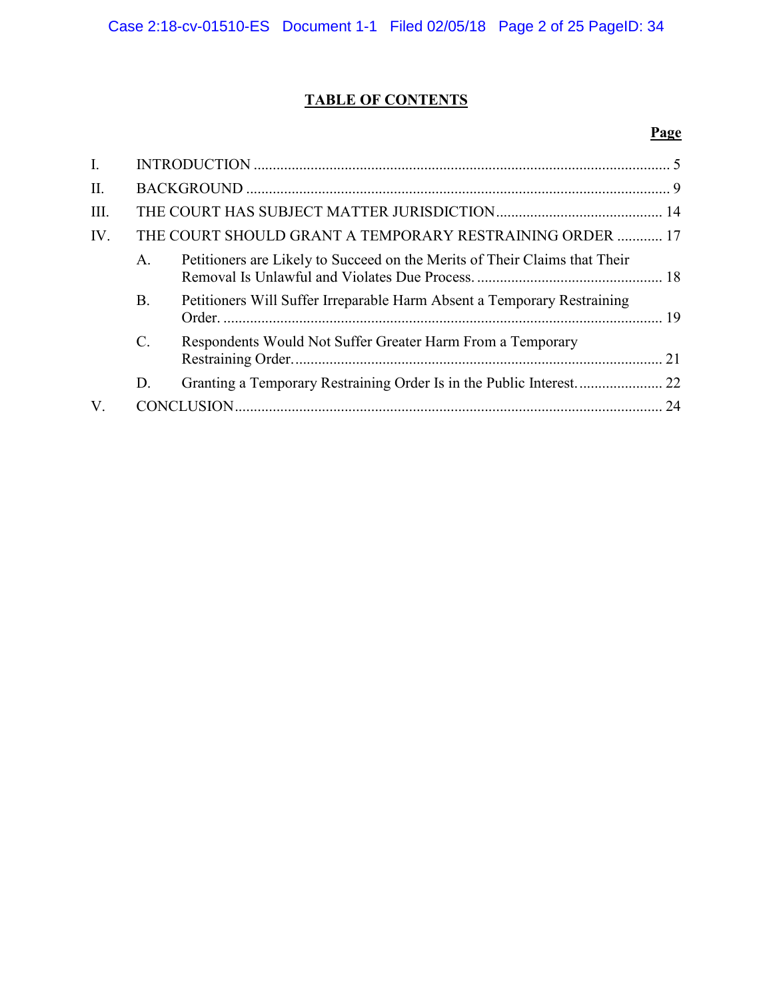# **TABLE OF CONTENTS**

# **Page**

| $\mathbf{I}$ . |           |                                                                            |    |
|----------------|-----------|----------------------------------------------------------------------------|----|
| $\Pi$ .        |           |                                                                            |    |
| III.           |           |                                                                            |    |
| IV.            |           | THE COURT SHOULD GRANT A TEMPORARY RESTRAINING ORDER  17                   |    |
|                | $A_{-}$   | Petitioners are Likely to Succeed on the Merits of Their Claims that Their |    |
|                | <b>B.</b> | Petitioners Will Suffer Irreparable Harm Absent a Temporary Restraining    |    |
|                | C.        | Respondents Would Not Suffer Greater Harm From a Temporary                 | 21 |
|                | D.        |                                                                            |    |
| $V_{.}$        |           |                                                                            | 24 |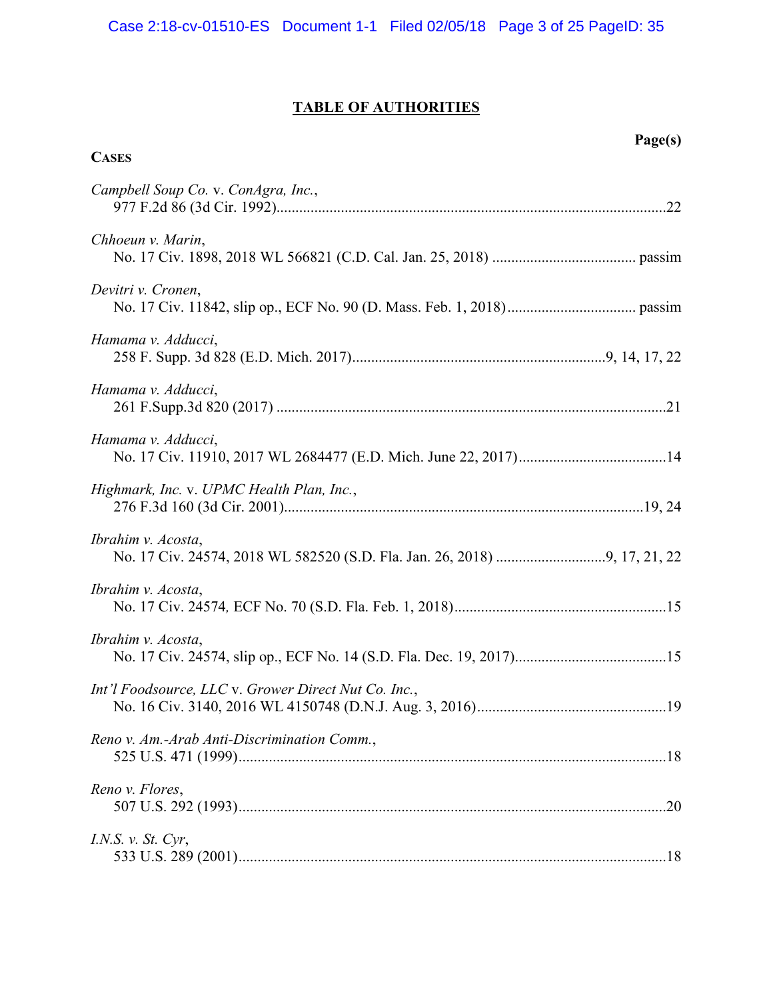# **TABLE OF AUTHORITIES**

**CASES**

# **Page(s)**

| Campbell Soup Co. v. ConAgra, Inc.,                  |  |
|------------------------------------------------------|--|
| Chhoeun v. Marin,                                    |  |
| Devitri v. Cronen,                                   |  |
| Hamama v. Adducci,                                   |  |
| Hamama v. Adducci,                                   |  |
| Hamama v. Adducci,                                   |  |
| Highmark, Inc. v. UPMC Health Plan, Inc.,            |  |
| Ibrahim v. Acosta,                                   |  |
| Ibrahim v. Acosta,                                   |  |
| Ibrahim v. Acosta,                                   |  |
| Int'l Foodsource, LLC v. Grower Direct Nut Co. Inc., |  |
| Reno v. Am.-Arab Anti-Discrimination Comm.,          |  |
| Reno v. Flores,                                      |  |
| I.N.S. v. St. Cyr,                                   |  |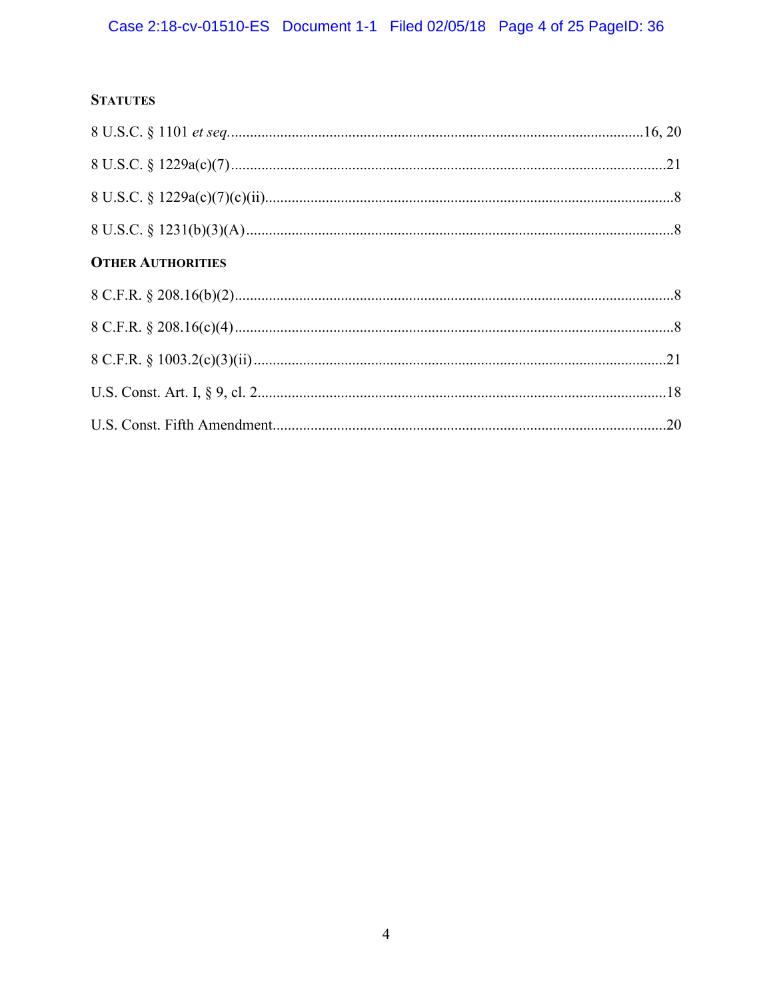# **STATUTES**

| <b>OTHER AUTHORITIES</b> |  |
|--------------------------|--|
|                          |  |
|                          |  |
|                          |  |
|                          |  |
|                          |  |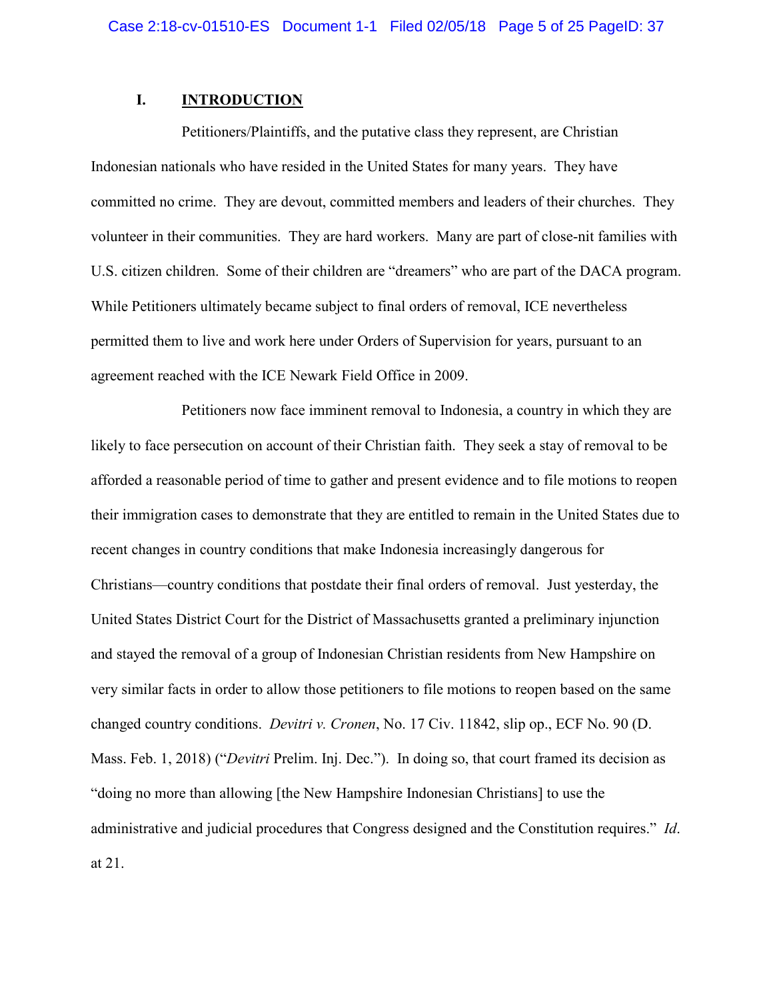# **I. INTRODUCTION**

Petitioners/Plaintiffs, and the putative class they represent, are Christian Indonesian nationals who have resided in the United States for many years. They have committed no crime. They are devout, committed members and leaders of their churches. They volunteer in their communities. They are hard workers. Many are part of close-nit families with U.S. citizen children. Some of their children are "dreamers" who are part of the DACA program. While Petitioners ultimately became subject to final orders of removal, ICE nevertheless permitted them to live and work here under Orders of Supervision for years, pursuant to an agreement reached with the ICE Newark Field Office in 2009.

<span id="page-4-0"></span>Petitioners now face imminent removal to Indonesia, a country in which they are likely to face persecution on account of their Christian faith. They seek a stay of removal to be afforded a reasonable period of time to gather and present evidence and to file motions to reopen their immigration cases to demonstrate that they are entitled to remain in the United States due to recent changes in country conditions that make Indonesia increasingly dangerous for Christians—country conditions that postdate their final orders of removal. Just yesterday, the United States District Court for the District of Massachusetts granted a preliminary injunction and stayed the removal of a group of Indonesian Christian residents from New Hampshire on very similar facts in order to allow those petitioners to file motions to reopen based on the same changed country conditions. *Devitri v. Cronen*, No. 17 Civ. 11842, slip op., ECF No. 90 (D. Mass. Feb. 1, 2018) ("*Devitri* Prelim. Inj. Dec."). In doing so, that court framed its decision as "doing no more than allowing [the New Hampshire Indonesian Christians] to use the administrative and judicial procedures that Congress designed and the Constitution requires." *Id*. at 21.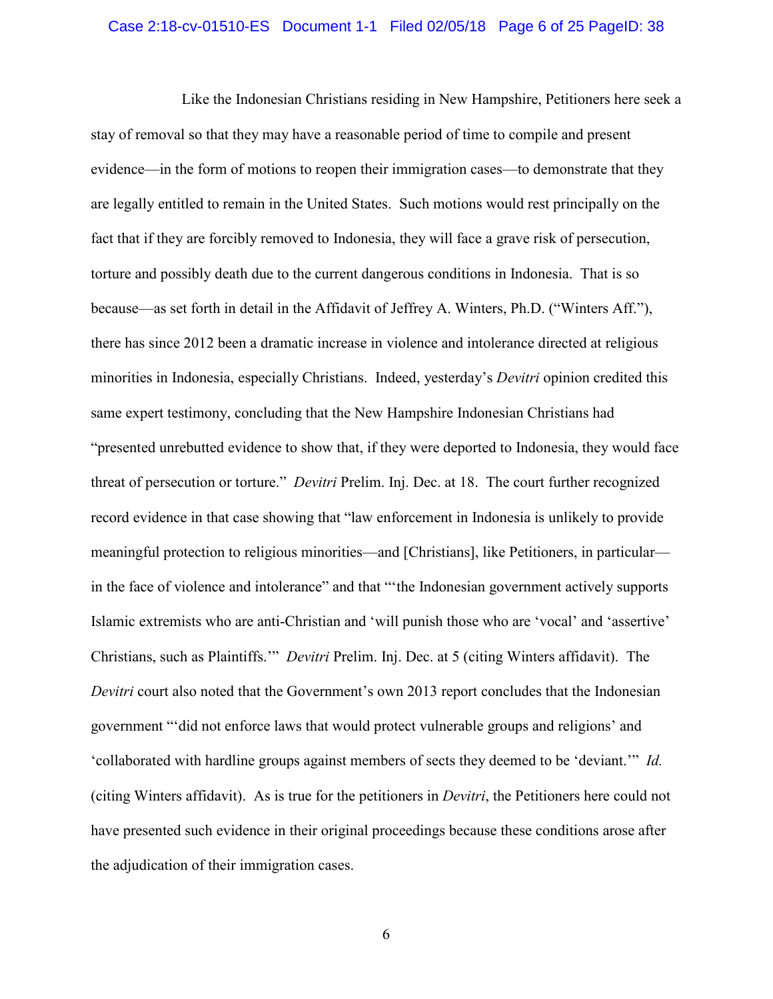### Case 2:18-cv-01510-ES Document 1-1 Filed 02/05/18 Page 6 of 25 PageID: 38

Like the Indonesian Christians residing in New Hampshire, Petitioners here seek a stay of removal so that they may have a reasonable period of time to compile and present evidence—in the form of motions to reopen their immigration cases—to demonstrate that they are legally entitled to remain in the United States. Such motions would rest principally on the fact that if they are forcibly removed to Indonesia, they will face a grave risk of persecution, torture and possibly death due to the current dangerous conditions in Indonesia. That is so because—as set forth in detail in the Affidavit of Jeffrey A. Winters, Ph.D. ("Winters Aff."), there has since 2012 been a dramatic increase in violence and intolerance directed at religious minorities in Indonesia, especially Christians. Indeed, yesterday's *Devitri* opinion credited this same expert testimony, concluding that the New Hampshire Indonesian Christians had "presented unrebutted evidence to show that, if they were deported to Indonesia, they would face threat of persecution or torture." *Devitri* Prelim. Inj. Dec. at 18. The court further recognized record evidence in that case showing that "law enforcement in Indonesia is unlikely to provide meaningful protection to religious minorities—and [Christians], like Petitioners, in particular in the face of violence and intolerance" and that "'the Indonesian government actively supports Islamic extremists who are anti-Christian and 'will punish those who are 'vocal' and 'assertive' Christians, such as Plaintiffs.'" *Devitri* Prelim. Inj. Dec. at 5 (citing Winters affidavit). The *Devitri* court also noted that the Government's own 2013 report concludes that the Indonesian government "'did not enforce laws that would protect vulnerable groups and religions' and 'collaborated with hardline groups against members of sects they deemed to be 'deviant.'" *Id.*  (citing Winters affidavit). As is true for the petitioners in *Devitri*, the Petitioners here could not have presented such evidence in their original proceedings because these conditions arose after the adjudication of their immigration cases.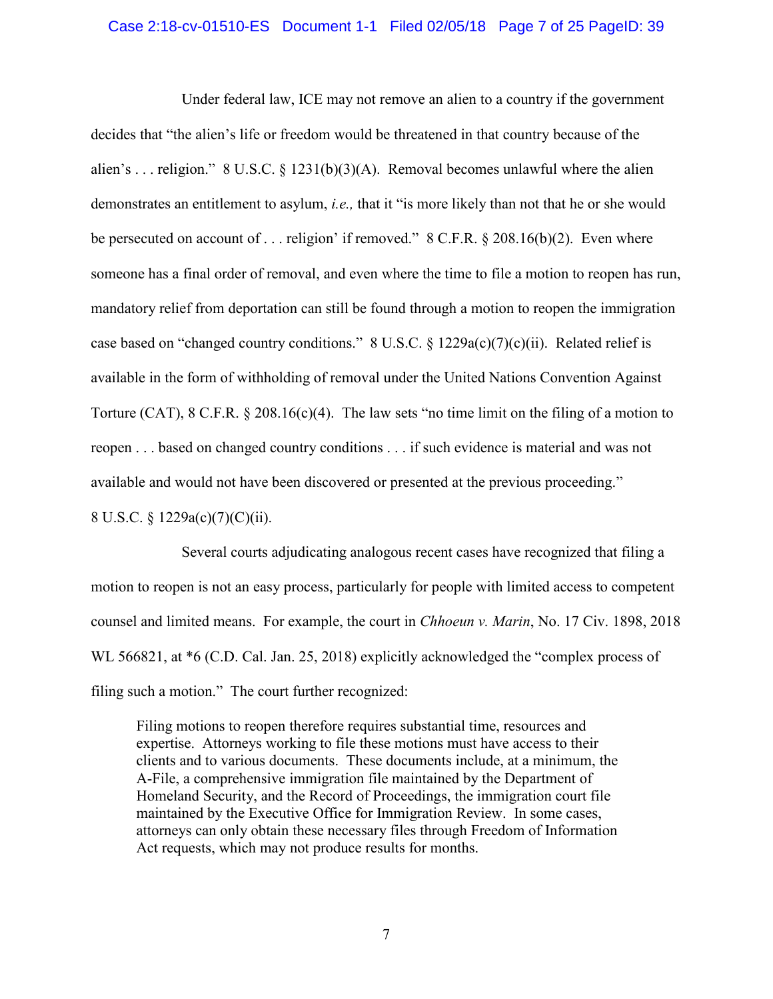## Case 2:18-cv-01510-ES Document 1-1 Filed 02/05/18 Page 7 of 25 PageID: 39

<span id="page-6-3"></span><span id="page-6-2"></span>Under federal law, ICE may not remove an alien to a country if the government decides that "the alien's life or freedom would be threatened in that country because of the alien's ... religion."  $8 \text{ U.S.C.} \$   $1231(b)(3)(A)$ . Removal becomes unlawful where the alien demonstrates an entitlement to asylum, *i.e.,* that it "is more likely than not that he or she would be persecuted on account of . . . religion' if removed." 8 C.F.R. § 208.16(b)(2). Even where someone has a final order of removal, and even where the time to file a motion to reopen has run, mandatory relief from deportation can still be found through a motion to reopen the immigration case based on "changed country conditions."  $8 \text{ U.S.C.} \$ § 1229a(c)(7)(c)(ii). Related relief is available in the form of withholding of removal under the United Nations Convention Against Torture (CAT), 8 C.F.R. § 208.16(c)(4). The law sets "no time limit on the filing of a motion to reopen . . . based on changed country conditions . . . if such evidence is material and was not available and would not have been discovered or presented at the previous proceeding."

<span id="page-6-4"></span><span id="page-6-1"></span>8 U.S.C. § 1229a(c)(7)(C)(ii).

Several courts adjudicating analogous recent cases have recognized that filing a motion to reopen is not an easy process, particularly for people with limited access to competent counsel and limited means. For example, the court in *Chhoeun v. Marin*, No. 17 Civ. 1898, 2018 WL 566821, at  $*6$  (C.D. Cal. Jan. 25, 2018) explicitly acknowledged the "complex process of filing such a motion." The court further recognized:

<span id="page-6-0"></span>Filing motions to reopen therefore requires substantial time, resources and expertise. Attorneys working to file these motions must have access to their clients and to various documents. These documents include, at a minimum, the A-File, a comprehensive immigration file maintained by the Department of Homeland Security, and the Record of Proceedings, the immigration court file maintained by the Executive Office for Immigration Review. In some cases, attorneys can only obtain these necessary files through Freedom of Information Act requests, which may not produce results for months.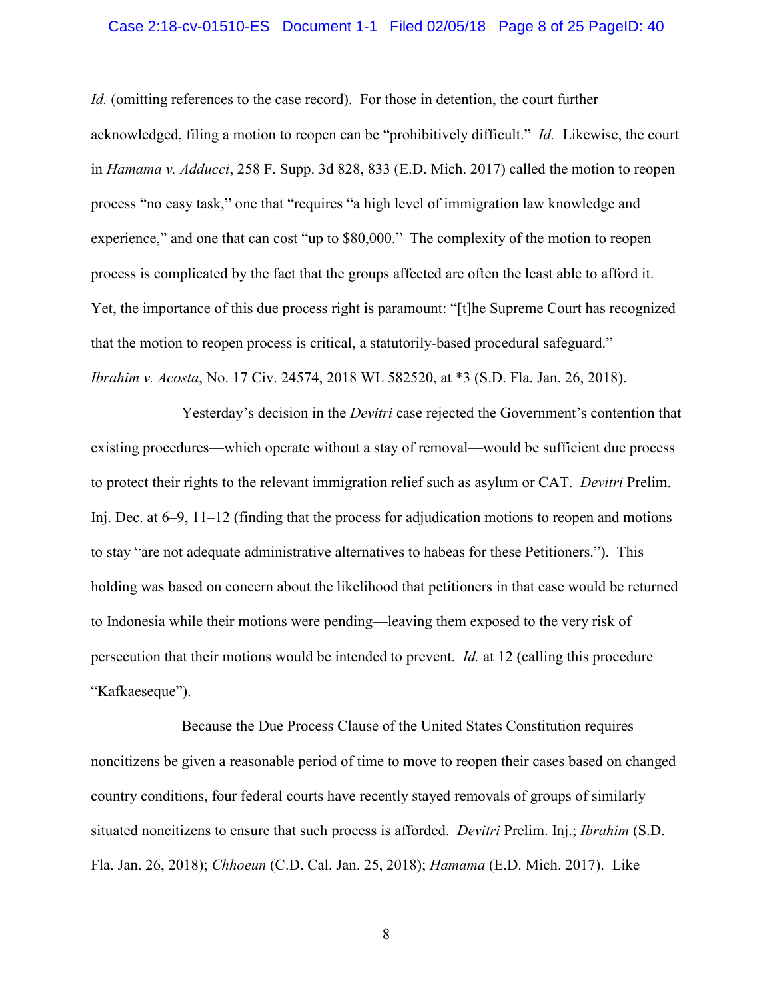### Case 2:18-cv-01510-ES Document 1-1 Filed 02/05/18 Page 8 of 25 PageID: 40

<span id="page-7-0"></span>*Id.* (omitting references to the case record). For those in detention, the court further acknowledged, filing a motion to reopen can be "prohibitively difficult." *Id.* Likewise, the court in *Hamama v. Adducci*, 258 F. Supp. 3d 828, 833 (E.D. Mich. 2017) called the motion to reopen process "no easy task," one that "requires "a high level of immigration law knowledge and experience," and one that can cost "up to \$80,000." The complexity of the motion to reopen process is complicated by the fact that the groups affected are often the least able to afford it. Yet, the importance of this due process right is paramount: "[t]he Supreme Court has recognized that the motion to reopen process is critical, a statutorily-based procedural safeguard." *Ibrahim v. Acosta*, No. 17 Civ. 24574, 2018 WL 582520, at \*3 (S.D. Fla. Jan. 26, 2018).

<span id="page-7-1"></span>Yesterday's decision in the *Devitri* case rejected the Government's contention that existing procedures—which operate without a stay of removal—would be sufficient due process to protect their rights to the relevant immigration relief such as asylum or CAT. *Devitri* Prelim. Inj. Dec. at 6–9, 11–12 (finding that the process for adjudication motions to reopen and motions to stay "are not adequate administrative alternatives to habeas for these Petitioners."). This holding was based on concern about the likelihood that petitioners in that case would be returned to Indonesia while their motions were pending—leaving them exposed to the very risk of persecution that their motions would be intended to prevent. *Id.* at 12 (calling this procedure "Kafkaeseque").

Because the Due Process Clause of the United States Constitution requires noncitizens be given a reasonable period of time to move to reopen their cases based on changed country conditions, four federal courts have recently stayed removals of groups of similarly situated noncitizens to ensure that such process is afforded. *Devitri* Prelim. Inj.; *Ibrahim* (S.D. Fla. Jan. 26, 2018); *Chhoeun* (C.D. Cal. Jan. 25, 2018); *Hamama* (E.D. Mich. 2017). Like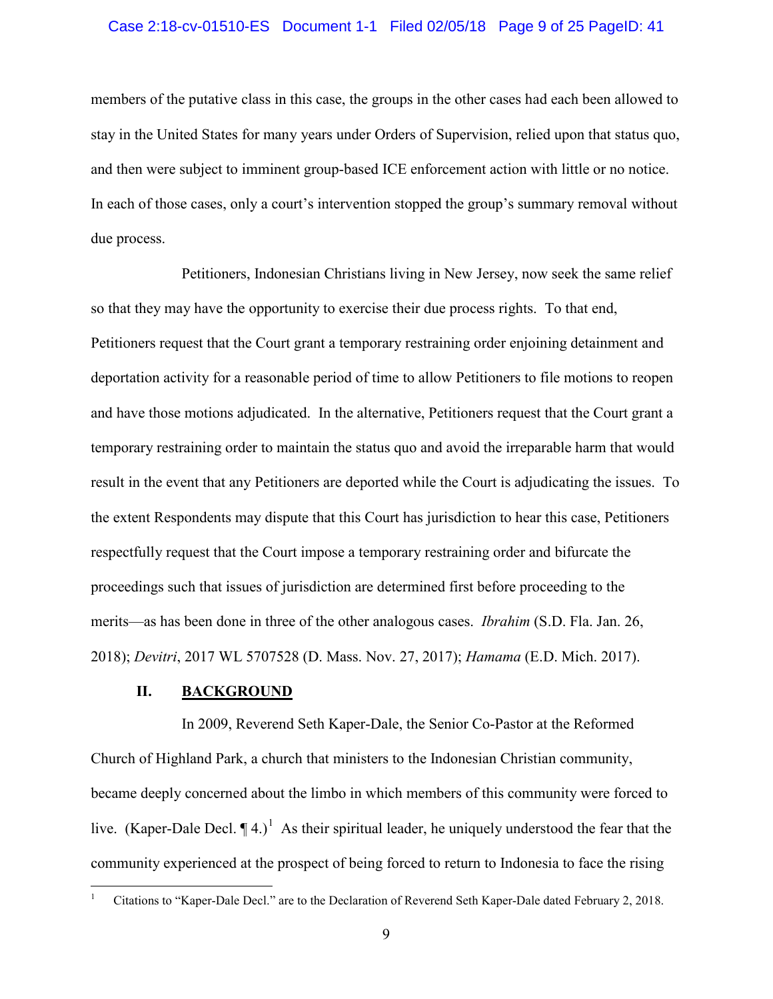### Case 2:18-cv-01510-ES Document 1-1 Filed 02/05/18 Page 9 of 25 PageID: 41

members of the putative class in this case, the groups in the other cases had each been allowed to stay in the United States for many years under Orders of Supervision, relied upon that status quo, and then were subject to imminent group-based ICE enforcement action with little or no notice. In each of those cases, only a court's intervention stopped the group's summary removal without due process.

Petitioners, Indonesian Christians living in New Jersey, now seek the same relief so that they may have the opportunity to exercise their due process rights. To that end, Petitioners request that the Court grant a temporary restraining order enjoining detainment and deportation activity for a reasonable period of time to allow Petitioners to file motions to reopen and have those motions adjudicated. In the alternative, Petitioners request that the Court grant a temporary restraining order to maintain the status quo and avoid the irreparable harm that would result in the event that any Petitioners are deported while the Court is adjudicating the issues. To the extent Respondents may dispute that this Court has jurisdiction to hear this case, Petitioners respectfully request that the Court impose a temporary restraining order and bifurcate the proceedings such that issues of jurisdiction are determined first before proceeding to the merits—as has been done in three of the other analogous cases. *Ibrahim* (S.D. Fla. Jan. 26, 2018); *Devitri*, 2017 WL 5707528 (D. Mass. Nov. 27, 2017); *Hamama* (E.D. Mich. 2017).

## **II. BACKGROUND**

In 2009, Reverend Seth Kaper-Dale, the Senior Co-Pastor at the Reformed Church of Highland Park, a church that ministers to the Indonesian Christian community, became deeply concerned about the limbo in which members of this community were forced to live. (Kaper-Dale Decl.  $\P$ 4.)<sup>[1](#page-8-0)</sup> As their spiritual leader, he uniquely understood the fear that the community experienced at the prospect of being forced to return to Indonesia to face the rising

<span id="page-8-0"></span>1 Citations to "Kaper-Dale Decl." are to the Declaration of Reverend Seth Kaper-Dale dated February 2, 2018.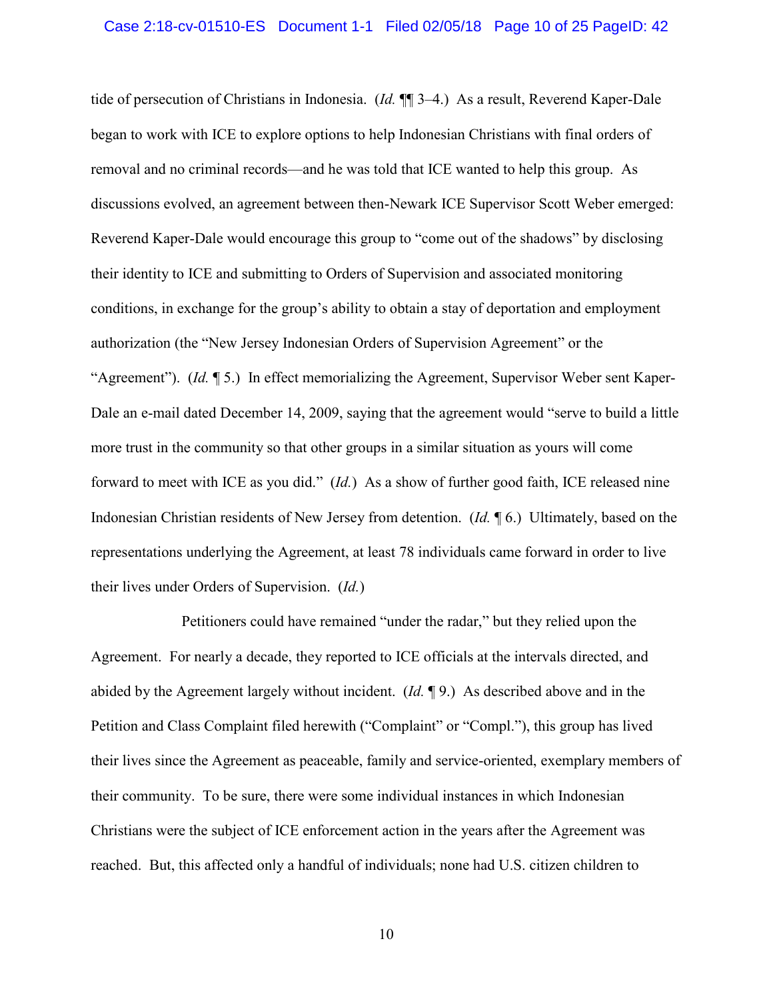tide of persecution of Christians in Indonesia. (*Id.* ¶¶ 3–4.) As a result, Reverend Kaper-Dale began to work with ICE to explore options to help Indonesian Christians with final orders of removal and no criminal records—and he was told that ICE wanted to help this group. As discussions evolved, an agreement between then-Newark ICE Supervisor Scott Weber emerged: Reverend Kaper-Dale would encourage this group to "come out of the shadows" by disclosing their identity to ICE and submitting to Orders of Supervision and associated monitoring conditions, in exchange for the group's ability to obtain a stay of deportation and employment authorization (the "New Jersey Indonesian Orders of Supervision Agreement" or the "Agreement"). (*Id.* ¶ 5.) In effect memorializing the Agreement, Supervisor Weber sent Kaper-Dale an e-mail dated December 14, 2009, saying that the agreement would "serve to build a little more trust in the community so that other groups in a similar situation as yours will come forward to meet with ICE as you did." (*Id.*) As a show of further good faith, ICE released nine Indonesian Christian residents of New Jersey from detention. (*Id.* ¶ 6.) Ultimately, based on the representations underlying the Agreement, at least 78 individuals came forward in order to live their lives under Orders of Supervision. (*Id.*)

Petitioners could have remained "under the radar," but they relied upon the Agreement. For nearly a decade, they reported to ICE officials at the intervals directed, and abided by the Agreement largely without incident. (*Id.* ¶ 9.) As described above and in the Petition and Class Complaint filed herewith ("Complaint" or "Compl."), this group has lived their lives since the Agreement as peaceable, family and service-oriented, exemplary members of their community. To be sure, there were some individual instances in which Indonesian Christians were the subject of ICE enforcement action in the years after the Agreement was reached. But, this affected only a handful of individuals; none had U.S. citizen children to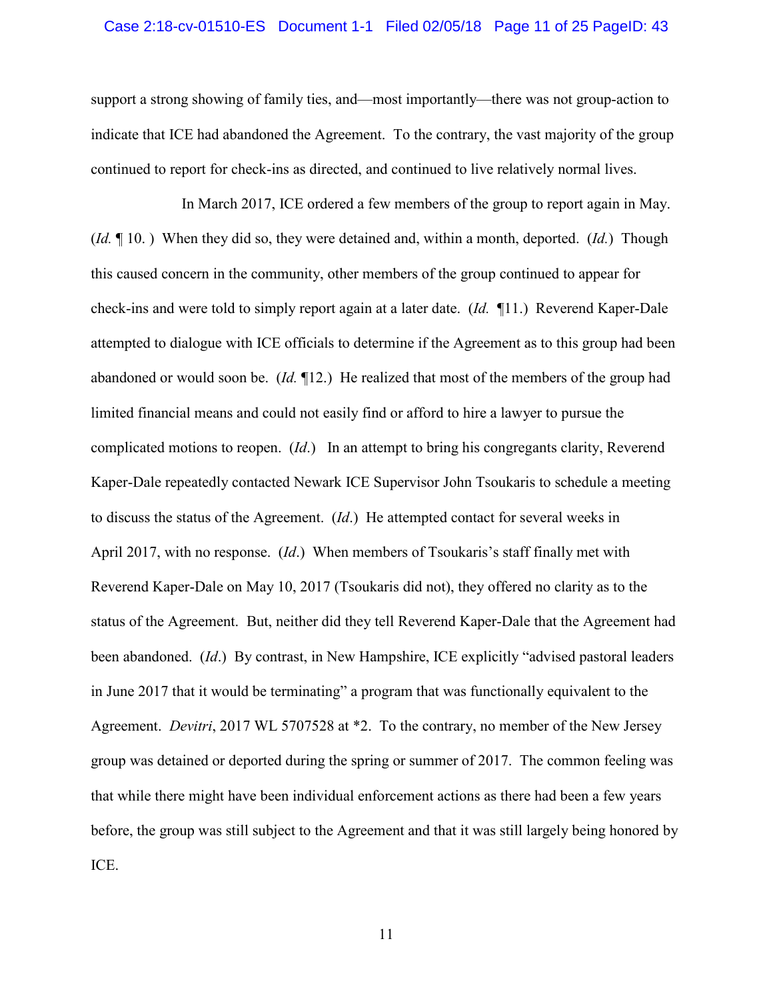#### Case 2:18-cv-01510-ES Document 1-1 Filed 02/05/18 Page 11 of 25 PageID: 43

support a strong showing of family ties, and—most importantly—there was not group-action to indicate that ICE had abandoned the Agreement. To the contrary, the vast majority of the group continued to report for check-ins as directed, and continued to live relatively normal lives.

In March 2017, ICE ordered a few members of the group to report again in May. (*Id.* ¶ 10. ) When they did so, they were detained and, within a month, deported. (*Id.*) Though this caused concern in the community, other members of the group continued to appear for check-ins and were told to simply report again at a later date. (*Id.* ¶11.) Reverend Kaper-Dale attempted to dialogue with ICE officials to determine if the Agreement as to this group had been abandoned or would soon be. (*Id.* ¶12.) He realized that most of the members of the group had limited financial means and could not easily find or afford to hire a lawyer to pursue the complicated motions to reopen. (*Id*.) In an attempt to bring his congregants clarity, Reverend Kaper-Dale repeatedly contacted Newark ICE Supervisor John Tsoukaris to schedule a meeting to discuss the status of the Agreement. (*Id*.) He attempted contact for several weeks in April 2017, with no response. (*Id*.) When members of Tsoukaris's staff finally met with Reverend Kaper-Dale on May 10, 2017 (Tsoukaris did not), they offered no clarity as to the status of the Agreement. But, neither did they tell Reverend Kaper-Dale that the Agreement had been abandoned. (*Id*.) By contrast, in New Hampshire, ICE explicitly "advised pastoral leaders in June 2017 that it would be terminating" a program that was functionally equivalent to the Agreement. *Devitri*, 2017 WL 5707528 at \*2. To the contrary, no member of the New Jersey group was detained or deported during the spring or summer of 2017. The common feeling was that while there might have been individual enforcement actions as there had been a few years before, the group was still subject to the Agreement and that it was still largely being honored by ICE.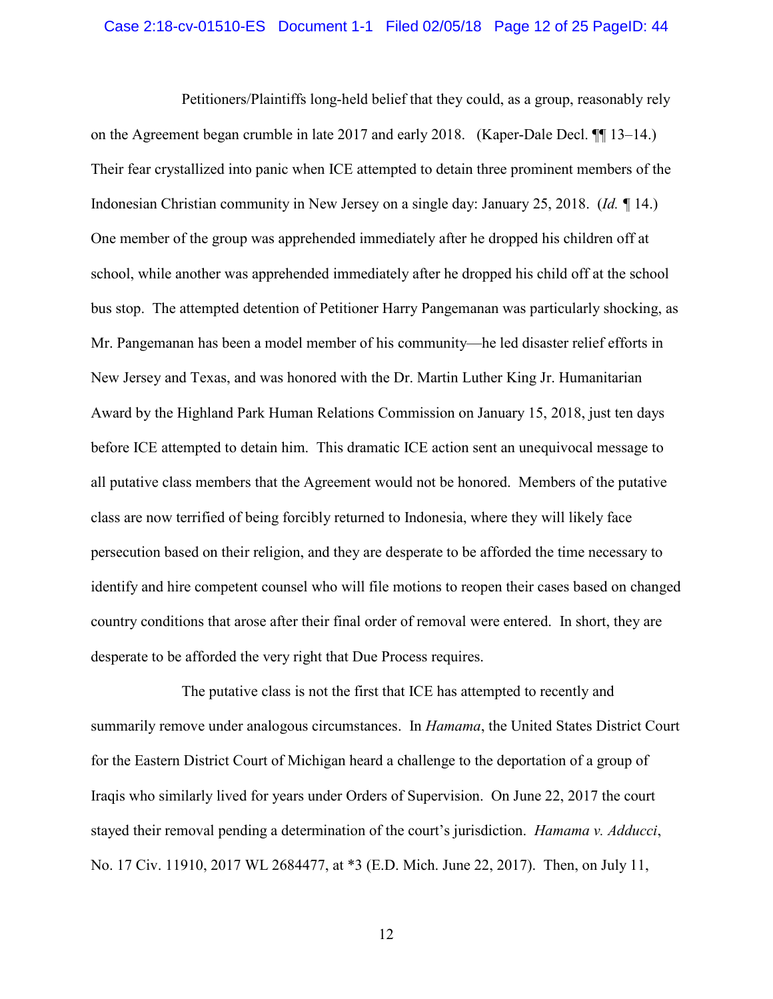#### Case 2:18-cv-01510-ES Document 1-1 Filed 02/05/18 Page 12 of 25 PageID: 44

Petitioners/Plaintiffs long-held belief that they could, as a group, reasonably rely on the Agreement began crumble in late 2017 and early 2018. (Kaper-Dale Decl. ¶¶ 13–14.) Their fear crystallized into panic when ICE attempted to detain three prominent members of the Indonesian Christian community in New Jersey on a single day: January 25, 2018. (*Id. ¶* 14.) One member of the group was apprehended immediately after he dropped his children off at school, while another was apprehended immediately after he dropped his child off at the school bus stop. The attempted detention of Petitioner Harry Pangemanan was particularly shocking, as Mr. Pangemanan has been a model member of his community—he led disaster relief efforts in New Jersey and Texas, and was honored with the Dr. Martin Luther King Jr. Humanitarian Award by the Highland Park Human Relations Commission on January 15, 2018, just ten days before ICE attempted to detain him. This dramatic ICE action sent an unequivocal message to all putative class members that the Agreement would not be honored. Members of the putative class are now terrified of being forcibly returned to Indonesia, where they will likely face persecution based on their religion, and they are desperate to be afforded the time necessary to identify and hire competent counsel who will file motions to reopen their cases based on changed country conditions that arose after their final order of removal were entered. In short, they are desperate to be afforded the very right that Due Process requires.

<span id="page-11-0"></span>The putative class is not the first that ICE has attempted to recently and summarily remove under analogous circumstances. In *Hamama*, the United States District Court for the Eastern District Court of Michigan heard a challenge to the deportation of a group of Iraqis who similarly lived for years under Orders of Supervision. On June 22, 2017 the court stayed their removal pending a determination of the court's jurisdiction. *Hamama v. Adducci*, No. 17 Civ. 11910, 2017 WL 2684477, at \*3 (E.D. Mich. June 22, 2017). Then, on July 11,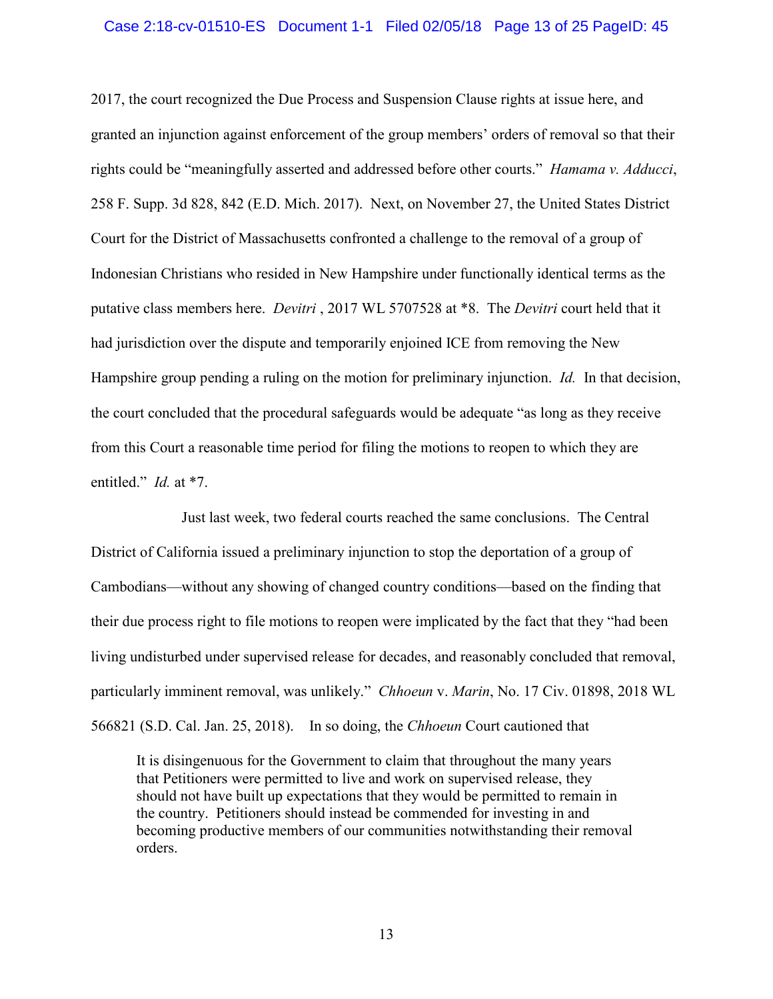#### Case 2:18-cv-01510-ES Document 1-1 Filed 02/05/18 Page 13 of 25 PageID: 45

<span id="page-12-0"></span>2017, the court recognized the Due Process and Suspension Clause rights at issue here, and granted an injunction against enforcement of the group members' orders of removal so that their rights could be "meaningfully asserted and addressed before other courts." *Hamama v. Adducci*, 258 F. Supp. 3d 828, 842 (E.D. Mich. 2017). Next, on November 27, the United States District Court for the District of Massachusetts confronted a challenge to the removal of a group of Indonesian Christians who resided in New Hampshire under functionally identical terms as the putative class members here. *Devitri* , 2017 WL 5707528 at \*8. The *Devitri* court held that it had jurisdiction over the dispute and temporarily enjoined ICE from removing the New Hampshire group pending a ruling on the motion for preliminary injunction. *Id.* In that decision, the court concluded that the procedural safeguards would be adequate "as long as they receive from this Court a reasonable time period for filing the motions to reopen to which they are entitled." *Id.* at \*7.

Just last week, two federal courts reached the same conclusions. The Central District of California issued a preliminary injunction to stop the deportation of a group of Cambodians—without any showing of changed country conditions—based on the finding that their due process right to file motions to reopen were implicated by the fact that they "had been living undisturbed under supervised release for decades, and reasonably concluded that removal, particularly imminent removal, was unlikely." *Chhoeun* v. *Marin*, No. 17 Civ. 01898, 2018 WL 566821 (S.D. Cal. Jan. 25, 2018). In so doing, the *Chhoeun* Court cautioned that

It is disingenuous for the Government to claim that throughout the many years that Petitioners were permitted to live and work on supervised release, they should not have built up expectations that they would be permitted to remain in the country. Petitioners should instead be commended for investing in and becoming productive members of our communities notwithstanding their removal orders.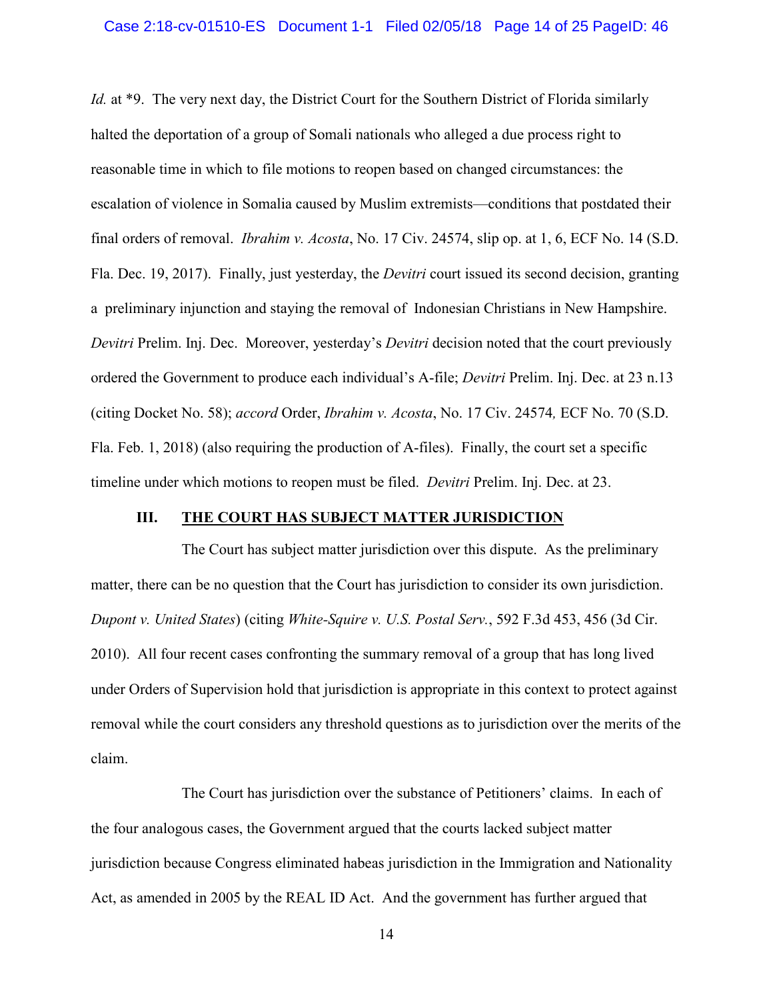<span id="page-13-1"></span>*Id.* at \*9. The very next day, the District Court for the Southern District of Florida similarly halted the deportation of a group of Somali nationals who alleged a due process right to reasonable time in which to file motions to reopen based on changed circumstances: the escalation of violence in Somalia caused by Muslim extremists—conditions that postdated their final orders of removal. *Ibrahim v. Acosta*, No. 17 Civ. 24574, slip op. at 1, 6, ECF No. 14 (S.D. Fla. Dec. 19, 2017). Finally, just yesterday, the *Devitri* court issued its second decision, granting a preliminary injunction and staying the removal of Indonesian Christians in New Hampshire. *Devitri* Prelim. Inj. Dec. Moreover, yesterday's *Devitri* decision noted that the court previously ordered the Government to produce each individual's A-file; *Devitri* Prelim. Inj. Dec. at 23 n.13 (citing Docket No. 58); *accord* Order, *Ibrahim v. Acosta*, No. 17 Civ. 24574*,* ECF No. 70 (S.D. Fla. Feb. 1, 2018) (also requiring the production of A-files). Finally, the court set a specific timeline under which motions to reopen must be filed. *Devitri* Prelim. Inj. Dec. at 23.

## <span id="page-13-0"></span>**III. THE COURT HAS SUBJECT MATTER JURISDICTION**

The Court has subject matter jurisdiction over this dispute. As the preliminary matter, there can be no question that the Court has jurisdiction to consider its own jurisdiction. *Dupont v. United States*) (citing *White-Squire v. U.S. Postal Serv.*, 592 F.3d 453, 456 (3d Cir. 2010). All four recent cases confronting the summary removal of a group that has long lived under Orders of Supervision hold that jurisdiction is appropriate in this context to protect against removal while the court considers any threshold questions as to jurisdiction over the merits of the claim.

<span id="page-13-2"></span>The Court has jurisdiction over the substance of Petitioners' claims. In each of the four analogous cases, the Government argued that the courts lacked subject matter jurisdiction because Congress eliminated habeas jurisdiction in the Immigration and Nationality Act, as amended in 2005 by the REAL ID Act. And the government has further argued that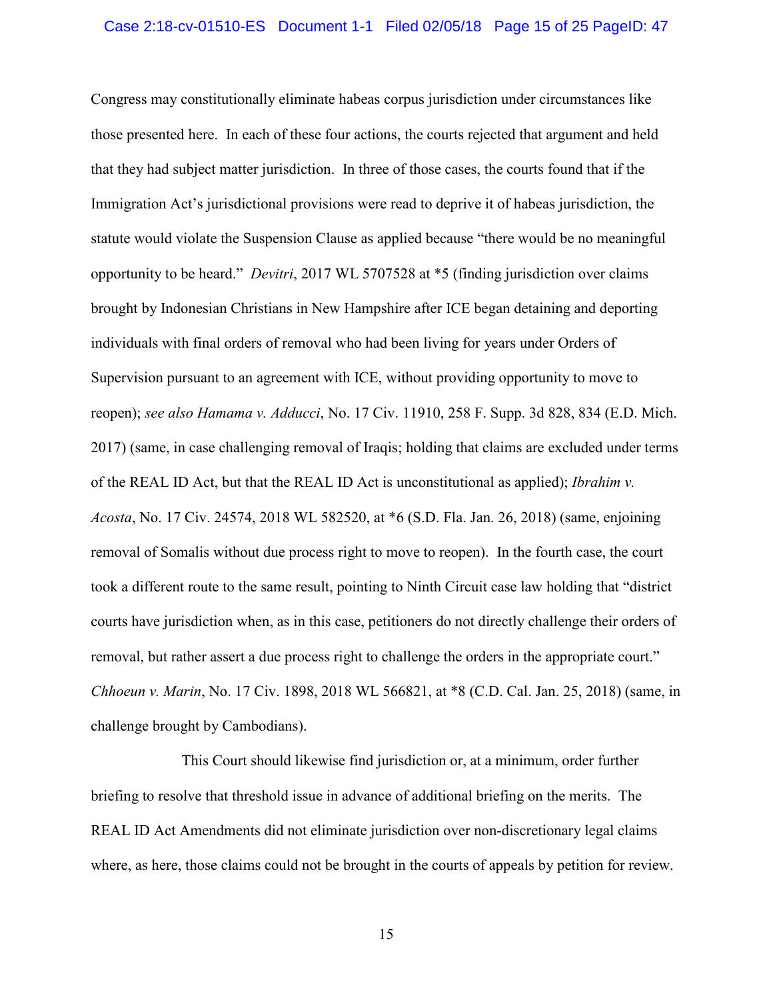<span id="page-14-0"></span>Congress may constitutionally eliminate habeas corpus jurisdiction under circumstances like those presented here. In each of these four actions, the courts rejected that argument and held that they had subject matter jurisdiction. In three of those cases, the courts found that if the Immigration Act's jurisdictional provisions were read to deprive it of habeas jurisdiction, the statute would violate the Suspension Clause as applied because "there would be no meaningful opportunity to be heard." *Devitri*, 2017 WL 5707528 at \*5 (finding jurisdiction over claims brought by Indonesian Christians in New Hampshire after ICE began detaining and deporting individuals with final orders of removal who had been living for years under Orders of Supervision pursuant to an agreement with ICE, without providing opportunity to move to reopen); *see also Hamama v. Adducci*, No. 17 Civ. 11910, 258 F. Supp. 3d 828, 834 (E.D. Mich. 2017) (same, in case challenging removal of Iraqis; holding that claims are excluded under terms of the REAL ID Act, but that the REAL ID Act is unconstitutional as applied); *Ibrahim v. Acosta*, No. 17 Civ. 24574, 2018 WL 582520, at \*6 (S.D. Fla. Jan. 26, 2018) (same, enjoining removal of Somalis without due process right to move to reopen). In the fourth case, the court took a different route to the same result, pointing to Ninth Circuit case law holding that "district courts have jurisdiction when, as in this case, petitioners do not directly challenge their orders of removal, but rather assert a due process right to challenge the orders in the appropriate court." *Chhoeun v. Marin*, No. 17 Civ. 1898, 2018 WL 566821, at \*8 (C.D. Cal. Jan. 25, 2018) (same, in challenge brought by Cambodians).

<span id="page-14-1"></span>This Court should likewise find jurisdiction or, at a minimum, order further briefing to resolve that threshold issue in advance of additional briefing on the merits. The REAL ID Act Amendments did not eliminate jurisdiction over non-discretionary legal claims where, as here, those claims could not be brought in the courts of appeals by petition for review.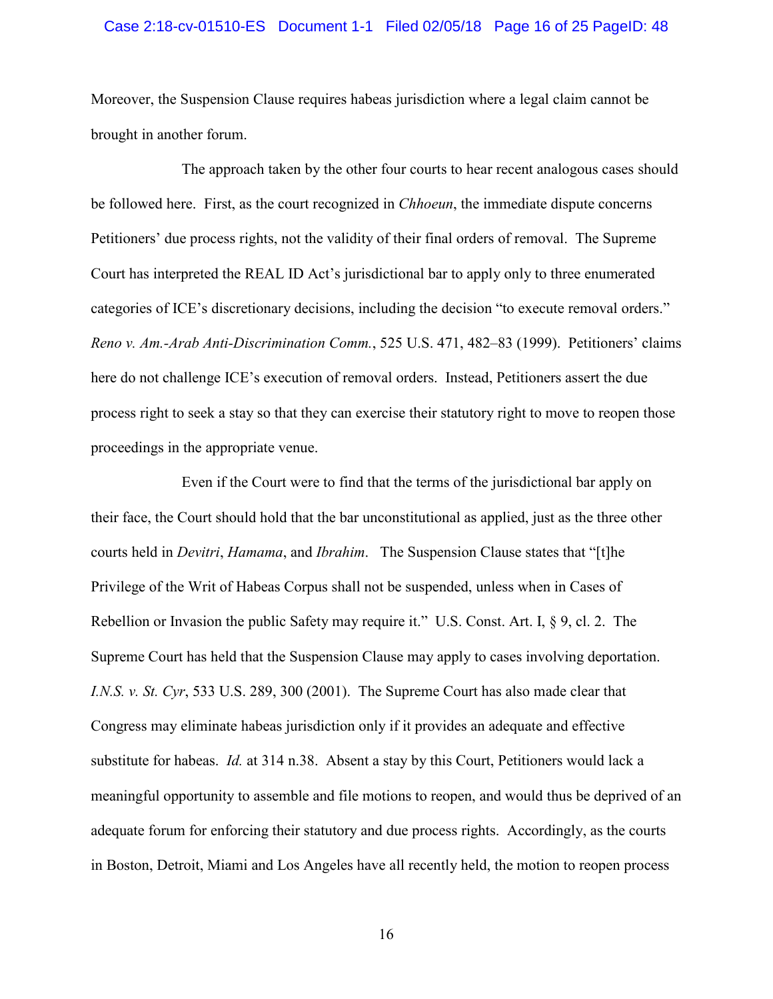#### Case 2:18-cv-01510-ES Document 1-1 Filed 02/05/18 Page 16 of 25 PageID: 48

Moreover, the Suspension Clause requires habeas jurisdiction where a legal claim cannot be brought in another forum.

The approach taken by the other four courts to hear recent analogous cases should be followed here. First, as the court recognized in *Chhoeun*, the immediate dispute concerns Petitioners' due process rights, not the validity of their final orders of removal. The Supreme Court has interpreted the REAL ID Act's jurisdictional bar to apply only to three enumerated categories of ICE's discretionary decisions, including the decision "to execute removal orders." *Reno v. Am.-Arab Anti-Discrimination Comm.*, 525 U.S. 471, 482–83 (1999). Petitioners' claims here do not challenge ICE's execution of removal orders. Instead, Petitioners assert the due process right to seek a stay so that they can exercise their statutory right to move to reopen those proceedings in the appropriate venue.

<span id="page-15-2"></span><span id="page-15-1"></span><span id="page-15-0"></span>Even if the Court were to find that the terms of the jurisdictional bar apply on their face, the Court should hold that the bar unconstitutional as applied, just as the three other courts held in *Devitri*, *Hamama*, and *Ibrahim*. The Suspension Clause states that "[t]he Privilege of the Writ of Habeas Corpus shall not be suspended, unless when in Cases of Rebellion or Invasion the public Safety may require it." U.S. Const. Art. I, § 9, cl. 2. The Supreme Court has held that the Suspension Clause may apply to cases involving deportation. *I.N.S. v. St. Cyr*, 533 U.S. 289, 300 (2001). The Supreme Court has also made clear that Congress may eliminate habeas jurisdiction only if it provides an adequate and effective substitute for habeas. *Id.* at 314 n.38. Absent a stay by this Court, Petitioners would lack a meaningful opportunity to assemble and file motions to reopen, and would thus be deprived of an adequate forum for enforcing their statutory and due process rights. Accordingly, as the courts in Boston, Detroit, Miami and Los Angeles have all recently held, the motion to reopen process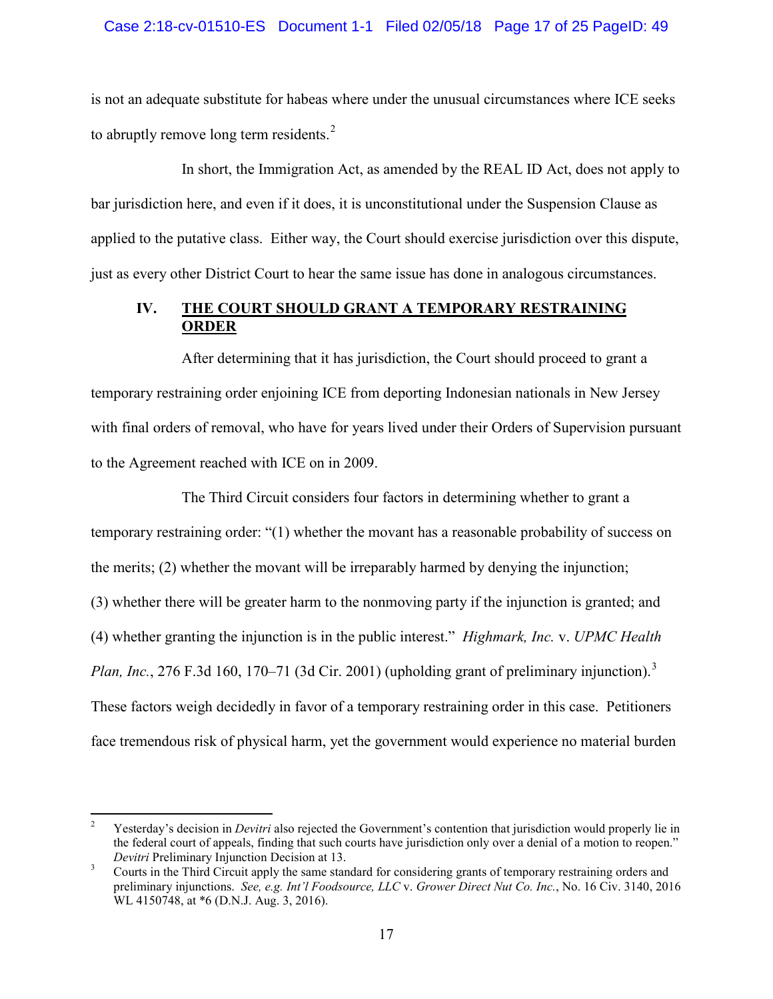## Case 2:18-cv-01510-ES Document 1-1 Filed 02/05/18 Page 17 of 25 PageID: 49

is not an adequate substitute for habeas where under the unusual circumstances where ICE seeks to abruptly remove long term residents.<sup>[2](#page-16-2)</sup>

In short, the Immigration Act, as amended by the REAL ID Act, does not apply to bar jurisdiction here, and even if it does, it is unconstitutional under the Suspension Clause as applied to the putative class. Either way, the Court should exercise jurisdiction over this dispute, just as every other District Court to hear the same issue has done in analogous circumstances.

## **IV. THE COURT SHOULD GRANT A TEMPORARY RESTRAINING ORDER**

After determining that it has jurisdiction, the Court should proceed to grant a temporary restraining order enjoining ICE from deporting Indonesian nationals in New Jersey with final orders of removal, who have for years lived under their Orders of Supervision pursuant to the Agreement reached with ICE on in 2009.

<span id="page-16-0"></span>The Third Circuit considers four factors in determining whether to grant a temporary restraining order: "(1) whether the movant has a reasonable probability of success on the merits; (2) whether the movant will be irreparably harmed by denying the injunction; (3) whether there will be greater harm to the nonmoving party if the injunction is granted; and (4) whether granting the injunction is in the public interest." *Highmark, Inc.* v. *UPMC Health Plan, Inc.*, 276 F.[3](#page-16-3)d 160, 170–71 (3d Cir. 2001) (upholding grant of preliminary injunction).<sup>3</sup> These factors weigh decidedly in favor of a temporary restraining order in this case. Petitioners face tremendous risk of physical harm, yet the government would experience no material burden

<span id="page-16-2"></span><sup>&</sup>lt;sup>2</sup> Yesterday's decision in *Devitri* also rejected the Government's contention that jurisdiction would properly lie in the federal court of appeals, finding that such courts have jurisdiction only over a denial of a motion to reopen." *Devitri* Preliminary Injunction Decision at 13.<br><sup>3</sup> Courts in the Third Circuit apply the same standard for considering grants of temporary restraining orders and

<span id="page-16-3"></span><span id="page-16-1"></span>preliminary injunctions. *See, e.g. Int'l Foodsource, LLC* v. *Grower Direct Nut Co. Inc.*, No. 16 Civ. 3140, 2016 WL 4150748, at \*6 (D.N.J. Aug. 3, 2016).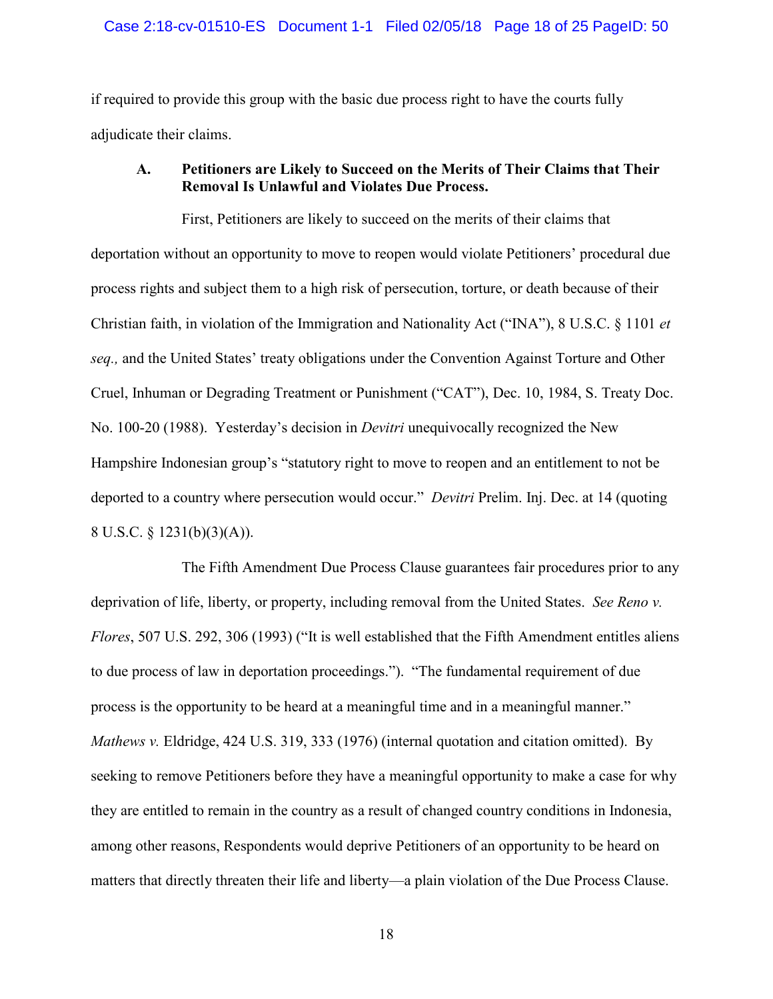### Case 2:18-cv-01510-ES Document 1-1 Filed 02/05/18 Page 18 of 25 PageID: 50

if required to provide this group with the basic due process right to have the courts fully adjudicate their claims.

## <span id="page-17-1"></span>**A. Petitioners are Likely to Succeed on the Merits of Their Claims that Their Removal Is Unlawful and Violates Due Process.**

First, Petitioners are likely to succeed on the merits of their claims that deportation without an opportunity to move to reopen would violate Petitioners' procedural due process rights and subject them to a high risk of persecution, torture, or death because of their Christian faith, in violation of the Immigration and Nationality Act ("INA"), 8 U.S.C. § 1101 *et seq.,* and the United States' treaty obligations under the Convention Against Torture and Other Cruel, Inhuman or Degrading Treatment or Punishment ("CAT"), Dec. 10, 1984, S. Treaty Doc. No. 100-20 (1988). Yesterday's decision in *Devitri* unequivocally recognized the New Hampshire Indonesian group's "statutory right to move to reopen and an entitlement to not be deported to a country where persecution would occur." *Devitri* Prelim. Inj. Dec. at 14 (quoting 8 U.S.C. § 1231(b)(3)(A)).

<span id="page-17-2"></span><span id="page-17-0"></span>The Fifth Amendment Due Process Clause guarantees fair procedures prior to any deprivation of life, liberty, or property, including removal from the United States. *See Reno v. Flores*, 507 U.S. 292, 306 (1993) ("It is well established that the Fifth Amendment entitles aliens to due process of law in deportation proceedings."). "The fundamental requirement of due process is the opportunity to be heard at a meaningful time and in a meaningful manner." *Mathews v.* Eldridge, 424 U.S. 319, 333 (1976) (internal quotation and citation omitted). By seeking to remove Petitioners before they have a meaningful opportunity to make a case for why they are entitled to remain in the country as a result of changed country conditions in Indonesia, among other reasons, Respondents would deprive Petitioners of an opportunity to be heard on matters that directly threaten their life and liberty—a plain violation of the Due Process Clause.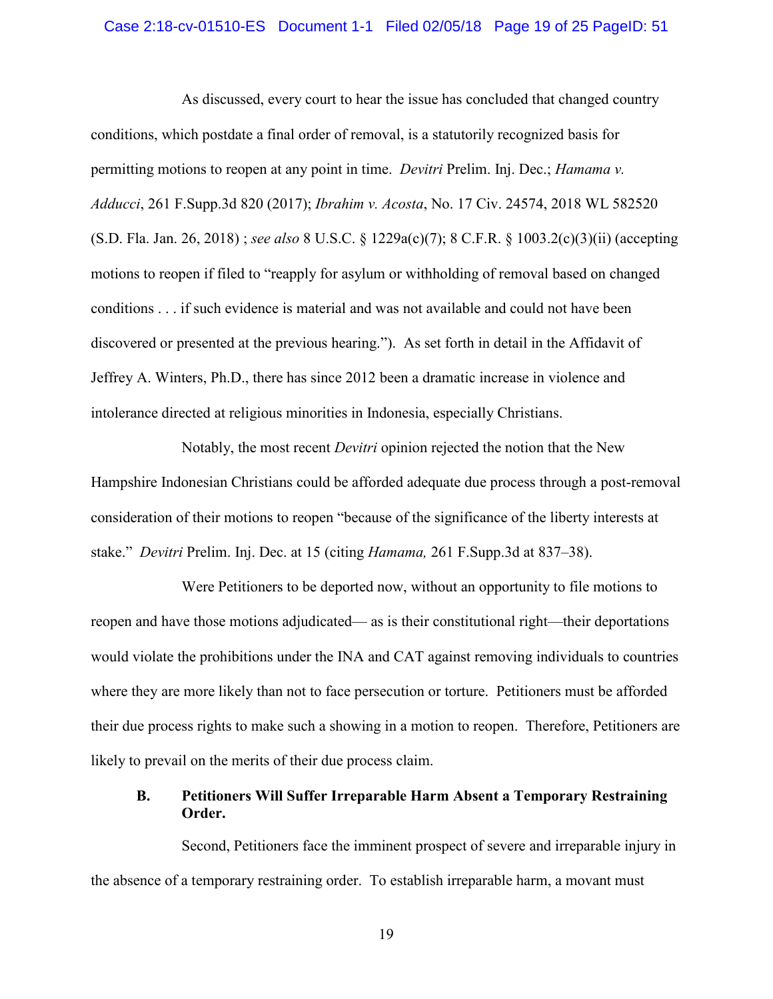#### Case 2:18-cv-01510-ES Document 1-1 Filed 02/05/18 Page 19 of 25 PageID: 51

<span id="page-18-3"></span><span id="page-18-2"></span><span id="page-18-1"></span><span id="page-18-0"></span>As discussed, every court to hear the issue has concluded that changed country conditions, which postdate a final order of removal, is a statutorily recognized basis for permitting motions to reopen at any point in time. *Devitri* Prelim. Inj. Dec.; *Hamama v. Adducci*, 261 F.Supp.3d 820 (2017); *Ibrahim v. Acosta*, No. 17 Civ. 24574, 2018 WL 582520 (S.D. Fla. Jan. 26, 2018) ; *see also* 8 U.S.C. § 1229a(c)(7); 8 C.F.R. § 1003.2(c)(3)(ii) (accepting motions to reopen if filed to "reapply for asylum or withholding of removal based on changed conditions . . . if such evidence is material and was not available and could not have been discovered or presented at the previous hearing."). As set forth in detail in the Affidavit of Jeffrey A. Winters, Ph.D., there has since 2012 been a dramatic increase in violence and intolerance directed at religious minorities in Indonesia, especially Christians.

Notably, the most recent *Devitri* opinion rejected the notion that the New Hampshire Indonesian Christians could be afforded adequate due process through a post-removal consideration of their motions to reopen "because of the significance of the liberty interests at stake." *Devitri* Prelim. Inj. Dec. at 15 (citing *Hamama,* 261 F.Supp.3d at 837–38).

Were Petitioners to be deported now, without an opportunity to file motions to reopen and have those motions adjudicated— as is their constitutional right—their deportations would violate the prohibitions under the INA and CAT against removing individuals to countries where they are more likely than not to face persecution or torture. Petitioners must be afforded their due process rights to make such a showing in a motion to reopen. Therefore, Petitioners are likely to prevail on the merits of their due process claim.

## **B. Petitioners Will Suffer Irreparable Harm Absent a Temporary Restraining Order.**

Second, Petitioners face the imminent prospect of severe and irreparable injury in the absence of a temporary restraining order. To establish irreparable harm, a movant must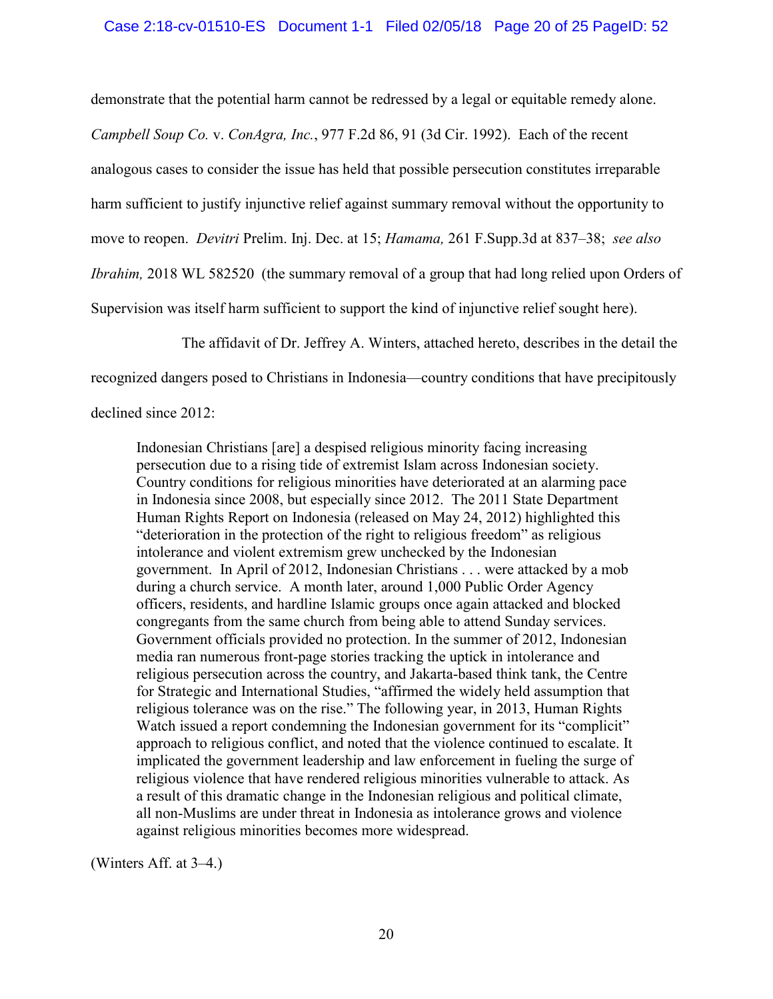<span id="page-19-0"></span>demonstrate that the potential harm cannot be redressed by a legal or equitable remedy alone. *Campbell Soup Co.* v. *ConAgra, Inc.*, 977 F.2d 86, 91 (3d Cir. 1992). Each of the recent analogous cases to consider the issue has held that possible persecution constitutes irreparable harm sufficient to justify injunctive relief against summary removal without the opportunity to move to reopen. *Devitri* Prelim. Inj. Dec. at 15; *Hamama,* 261 F.Supp.3d at 837–38; *see also Ibrahim,* 2018 WL 582520 (the summary removal of a group that had long relied upon Orders of Supervision was itself harm sufficient to support the kind of injunctive relief sought here).

<span id="page-19-1"></span>The affidavit of Dr. Jeffrey A. Winters, attached hereto, describes in the detail the

<span id="page-19-2"></span>recognized dangers posed to Christians in Indonesia—country conditions that have precipitously

declined since 2012:

Indonesian Christians [are] a despised religious minority facing increasing persecution due to a rising tide of extremist Islam across Indonesian society. Country conditions for religious minorities have deteriorated at an alarming pace in Indonesia since 2008, but especially since 2012. The 2011 State Department Human Rights Report on Indonesia (released on May 24, 2012) highlighted this "deterioration in the protection of the right to religious freedom" as religious intolerance and violent extremism grew unchecked by the Indonesian government. In April of 2012, Indonesian Christians . . . were attacked by a mob during a church service. A month later, around 1,000 Public Order Agency officers, residents, and hardline Islamic groups once again attacked and blocked congregants from the same church from being able to attend Sunday services. Government officials provided no protection. In the summer of 2012, Indonesian media ran numerous front-page stories tracking the uptick in intolerance and religious persecution across the country, and Jakarta-based think tank, the Centre for Strategic and International Studies, "affirmed the widely held assumption that religious tolerance was on the rise." The following year, in 2013, Human Rights Watch issued a report condemning the Indonesian government for its "complicit" approach to religious conflict, and noted that the violence continued to escalate. It implicated the government leadership and law enforcement in fueling the surge of religious violence that have rendered religious minorities vulnerable to attack. As a result of this dramatic change in the Indonesian religious and political climate, all non-Muslims are under threat in Indonesia as intolerance grows and violence against religious minorities becomes more widespread.

(Winters Aff. at 3–4.)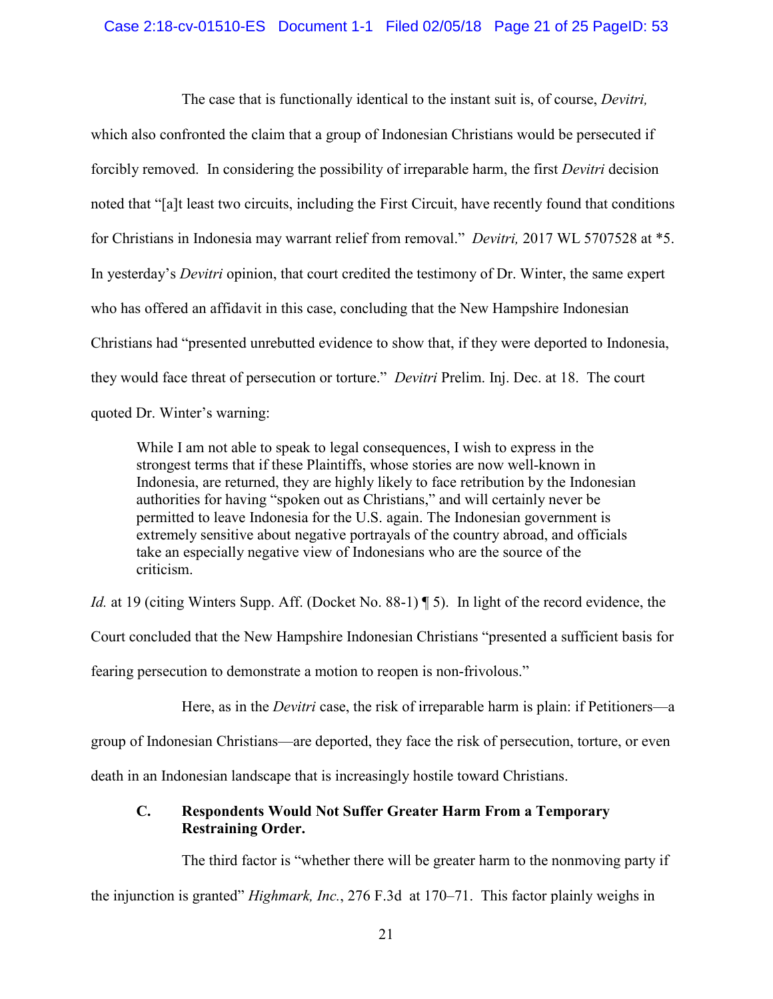## Case 2:18-cv-01510-ES Document 1-1 Filed 02/05/18 Page 21 of 25 PageID: 53

The case that is functionally identical to the instant suit is, of course, *Devitri,* which also confronted the claim that a group of Indonesian Christians would be persecuted if forcibly removed. In considering the possibility of irreparable harm, the first *Devitri* decision noted that "[a]t least two circuits, including the First Circuit, have recently found that conditions for Christians in Indonesia may warrant relief from removal." *Devitri,* 2017 WL 5707528 at \*5. In yesterday's *Devitri* opinion, that court credited the testimony of Dr. Winter, the same expert who has offered an affidavit in this case, concluding that the New Hampshire Indonesian Christians had "presented unrebutted evidence to show that, if they were deported to Indonesia, they would face threat of persecution or torture." *Devitri* Prelim. Inj. Dec. at 18. The court quoted Dr. Winter's warning:

While I am not able to speak to legal consequences, I wish to express in the strongest terms that if these Plaintiffs, whose stories are now well-known in Indonesia, are returned, they are highly likely to face retribution by the Indonesian authorities for having "spoken out as Christians," and will certainly never be permitted to leave Indonesia for the U.S. again. The Indonesian government is extremely sensitive about negative portrayals of the country abroad, and officials take an especially negative view of Indonesians who are the source of the criticism.

*Id.* at 19 (citing Winters Supp. Aff. (Docket No. 88-1) ¶ 5). In light of the record evidence, the

Court concluded that the New Hampshire Indonesian Christians "presented a sufficient basis for

fearing persecution to demonstrate a motion to reopen is non-frivolous."

Here, as in the *Devitri* case, the risk of irreparable harm is plain: if Petitioners—a

group of Indonesian Christians—are deported, they face the risk of persecution, torture, or even

death in an Indonesian landscape that is increasingly hostile toward Christians.

# **C. Respondents Would Not Suffer Greater Harm From a Temporary Restraining Order.**

<span id="page-20-0"></span>The third factor is "whether there will be greater harm to the nonmoving party if

the injunction is granted" *Highmark, Inc.*, 276 F.3d at 170–71. This factor plainly weighs in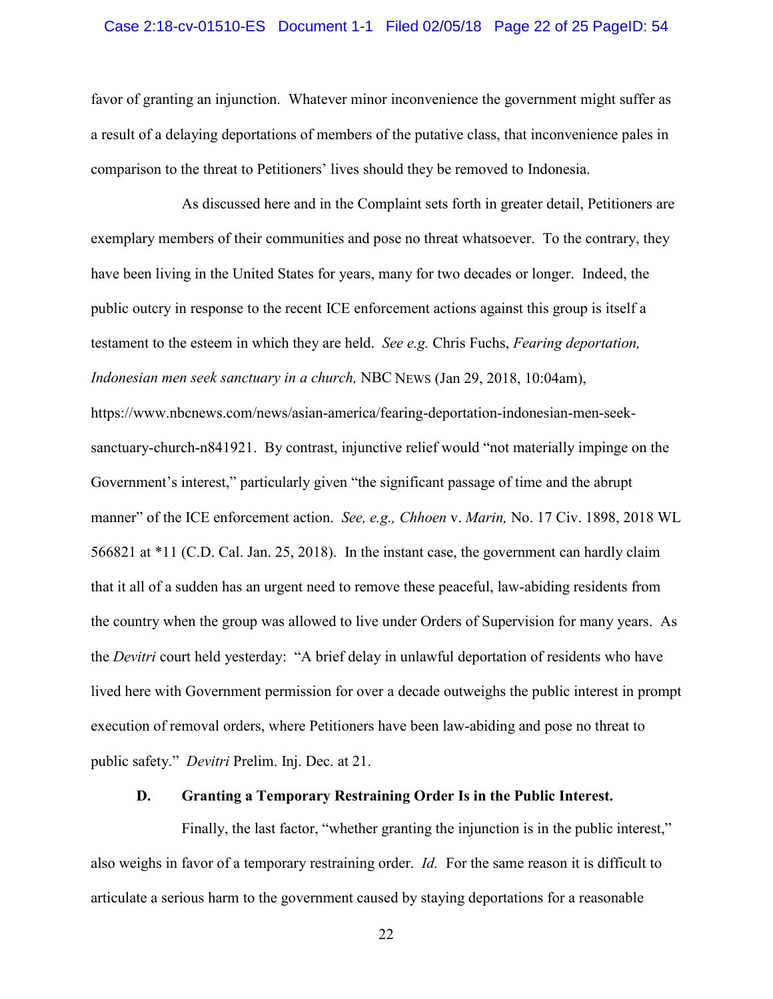## Case 2:18-cv-01510-ES Document 1-1 Filed 02/05/18 Page 22 of 25 PageID: 54

favor of granting an injunction. Whatever minor inconvenience the government might suffer as a result of a delaying deportations of members of the putative class, that inconvenience pales in comparison to the threat to Petitioners' lives should they be removed to Indonesia.

As discussed here and in the Complaint sets forth in greater detail, Petitioners are exemplary members of their communities and pose no threat whatsoever. To the contrary, they have been living in the United States for years, many for two decades or longer. Indeed, the public outcry in response to the recent ICE enforcement actions against this group is itself a testament to the esteem in which they are held. *See e.g.* Chris Fuchs, *Fearing deportation, Indonesian men seek sanctuary in a church,* NBC NEWS (Jan 29, 2018, 10:04am), https://www.nbcnews.com/news/asian-america/fearing-deportation-indonesian-men-seeksanctuary-church-n841921. By contrast, injunctive relief would "not materially impinge on the Government's interest," particularly given "the significant passage of time and the abrupt manner" of the ICE enforcement action. *See, e.g., Chhoen* v. *Marin,* No. 17 Civ. 1898, 2018 WL 566821 at \*11 (C.D. Cal. Jan. 25, 2018). In the instant case, the government can hardly claim that it all of a sudden has an urgent need to remove these peaceful, law-abiding residents from the country when the group was allowed to live under Orders of Supervision for many years. As the *Devitri* court held yesterday: "A brief delay in unlawful deportation of residents who have lived here with Government permission for over a decade outweighs the public interest in prompt execution of removal orders, where Petitioners have been law-abiding and pose no threat to public safety." *Devitri* Prelim. Inj. Dec. at 21.

## **D. Granting a Temporary Restraining Order Is in the Public Interest.**

Finally, the last factor, "whether granting the injunction is in the public interest," also weighs in favor of a temporary restraining order. *Id.* For the same reason it is difficult to articulate a serious harm to the government caused by staying deportations for a reasonable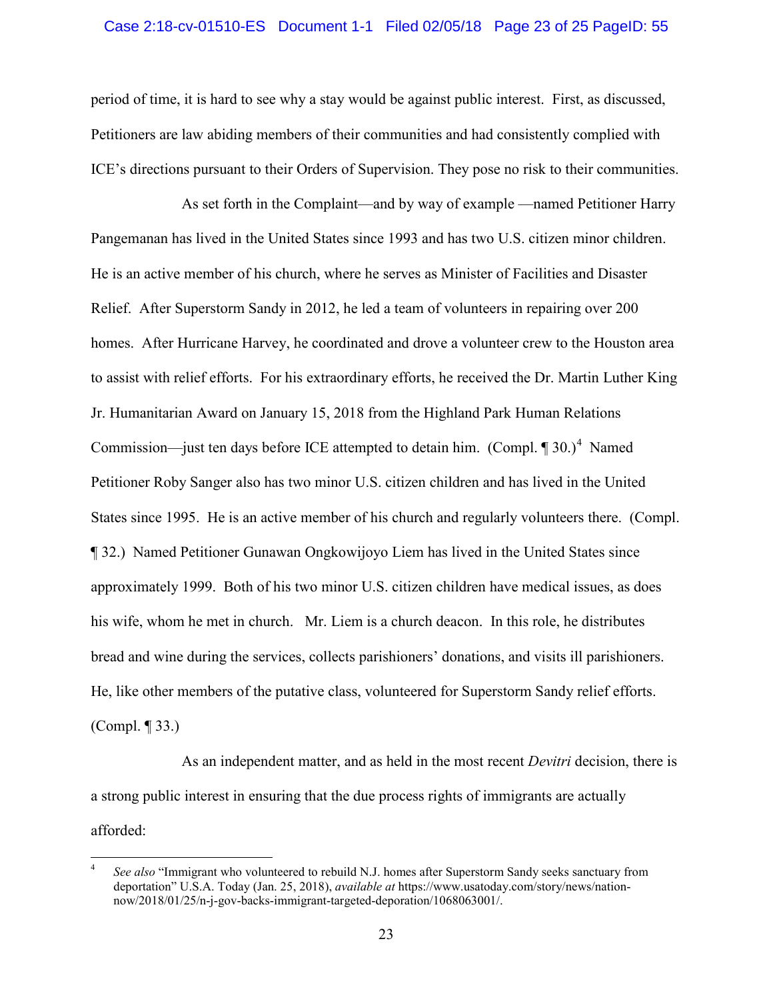## Case 2:18-cv-01510-ES Document 1-1 Filed 02/05/18 Page 23 of 25 PageID: 55

period of time, it is hard to see why a stay would be against public interest. First, as discussed, Petitioners are law abiding members of their communities and had consistently complied with ICE's directions pursuant to their Orders of Supervision. They pose no risk to their communities.

As set forth in the Complaint—and by way of example —named Petitioner Harry Pangemanan has lived in the United States since 1993 and has two U.S. citizen minor children. He is an active member of his church, where he serves as Minister of Facilities and Disaster Relief. After Superstorm Sandy in 2012, he led a team of volunteers in repairing over 200 homes. After Hurricane Harvey, he coordinated and drove a volunteer crew to the Houston area to assist with relief efforts. For his extraordinary efforts, he received the Dr. Martin Luther King Jr. Humanitarian Award on January 15, 2018 from the Highland Park Human Relations Commission—just ten days before ICE attempted to detain him.  $(Compl. \P 30.)^4$  $(Compl. \P 30.)^4$  Named Petitioner Roby Sanger also has two minor U.S. citizen children and has lived in the United States since 1995. He is an active member of his church and regularly volunteers there. (Compl. ¶ 32.) Named Petitioner Gunawan Ongkowijoyo Liem has lived in the United States since approximately 1999. Both of his two minor U.S. citizen children have medical issues, as does his wife, whom he met in church. Mr. Liem is a church deacon. In this role, he distributes bread and wine during the services, collects parishioners' donations, and visits ill parishioners. He, like other members of the putative class, volunteered for Superstorm Sandy relief efforts. (Compl. ¶ 33.)

As an independent matter, and as held in the most recent *Devitri* decision, there is a strong public interest in ensuring that the due process rights of immigrants are actually afforded:

<span id="page-22-0"></span>See also "Immigrant who volunteered to rebuild N.J. homes after Superstorm Sandy seeks sanctuary from deportation" U.S.A. Today (Jan. 25, 2018), *available at* [https://www.usatoday.com/story/news/nation](https://www.usatoday.com/story/news/nation-now/2018/01/25/n-j-gov-backs-immigrant-targeted-deporation/1068063001/)[now/2018/01/25/n-j-gov-backs-immigrant-targeted-deporation/1068063001/.](https://www.usatoday.com/story/news/nation-now/2018/01/25/n-j-gov-backs-immigrant-targeted-deporation/1068063001/)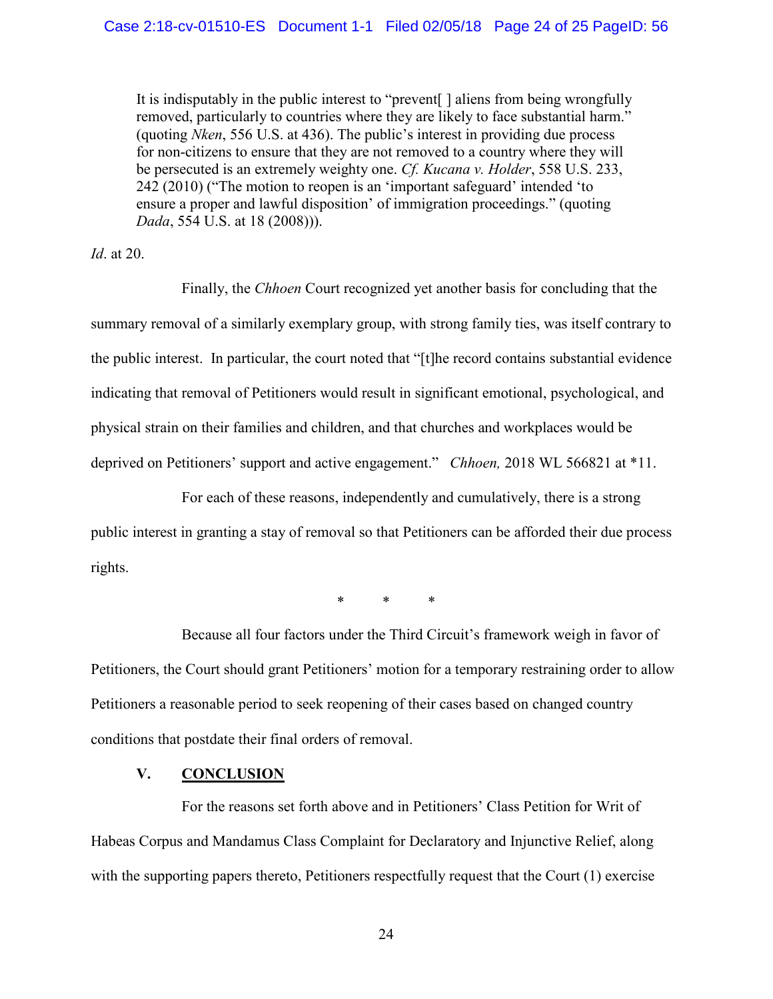It is indisputably in the public interest to "prevent[ ] aliens from being wrongfully removed, particularly to countries where they are likely to face substantial harm." (quoting *Nken*, 556 U.S. at 436). The public's interest in providing due process for non-citizens to ensure that they are not removed to a country where they will be persecuted is an extremely weighty one. *Cf. Kucana v. Holder*, 558 U.S. 233, 242 (2010) ("The motion to reopen is an 'important safeguard' intended 'to ensure a proper and lawful disposition' of immigration proceedings." (quoting *Dada*, 554 U.S. at 18 (2008))).

*Id*. at 20.

Finally, the *Chhoen* Court recognized yet another basis for concluding that the summary removal of a similarly exemplary group, with strong family ties, was itself contrary to the public interest. In particular, the court noted that "[t]he record contains substantial evidence indicating that removal of Petitioners would result in significant emotional, psychological, and physical strain on their families and children, and that churches and workplaces would be deprived on Petitioners' support and active engagement." *Chhoen,* 2018 WL 566821 at \*11.

For each of these reasons, independently and cumulatively, there is a strong public interest in granting a stay of removal so that Petitioners can be afforded their due process rights.

\* \* \*

Because all four factors under the Third Circuit's framework weigh in favor of Petitioners, the Court should grant Petitioners' motion for a temporary restraining order to allow Petitioners a reasonable period to seek reopening of their cases based on changed country conditions that postdate their final orders of removal.

## **V. CONCLUSION**

For the reasons set forth above and in Petitioners' Class Petition for Writ of Habeas Corpus and Mandamus Class Complaint for Declaratory and Injunctive Relief, along with the supporting papers thereto, Petitioners respectfully request that the Court (1) exercise